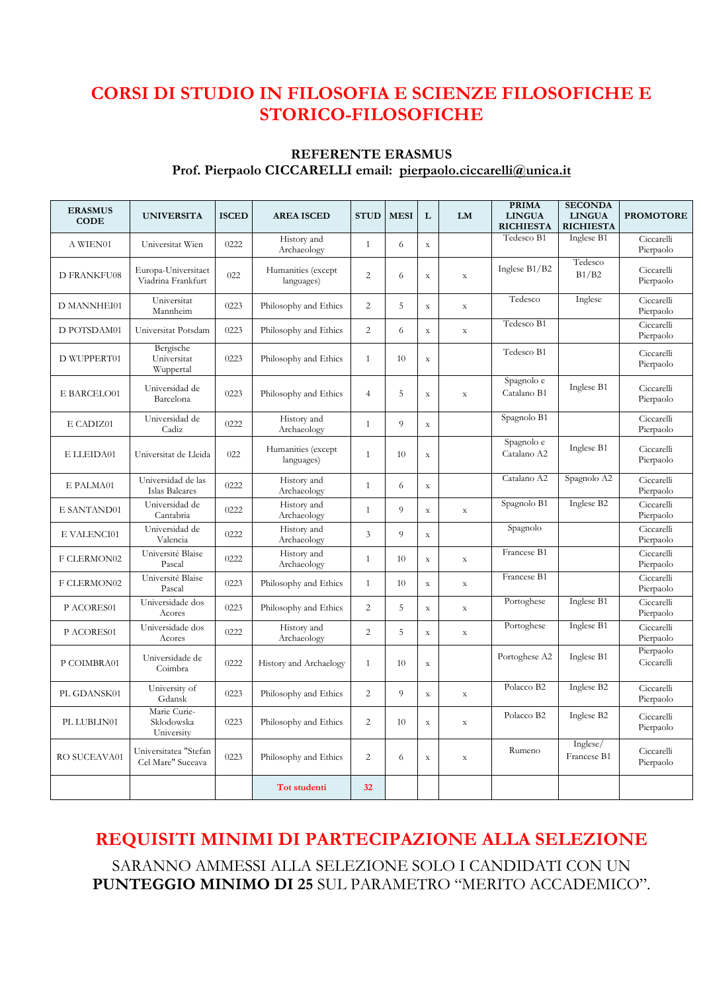## **CORSI DI STUDIO IN FILOSOFIA E SCIENZE FILOSOFICHE E STORICO-FILOSOFICHE**

#### **REFERENTE ERASMUS Prof. Pierpaolo CICCARELLI email: pierpaolo.ciccarelli@unica.it**

| <b>ERASMUS</b><br><b>CODE</b> | <b>UNIVERSITA</b>                          | <b>ISCED</b> | <b>AREA ISCED</b>                | <b>STUD</b>    | <b>MESI</b> | L           | <b>LM</b>   | <b>PRIMA</b><br><b>LINGUA</b><br><b>RICHIESTA</b> | <b>SECONDA</b><br><b>LINGUA</b><br><b>RICHIESTA</b> | <b>PROMOTORE</b>        |
|-------------------------------|--------------------------------------------|--------------|----------------------------------|----------------|-------------|-------------|-------------|---------------------------------------------------|-----------------------------------------------------|-------------------------|
| A WIEN01                      | Universitat Wien                           | 0222         | History and<br>Archaeology       | $\mathbf{1}$   | 6           | $\mathbf X$ |             | Tedesco B1                                        | Inglese B1                                          | Ciccarelli<br>Pierpaolo |
| <b>D FRANKFU08</b>            | Europa-Universitaet<br>Viadrina Frankfurt  | 022          | Humanities (except<br>languages) | $\overline{2}$ | 6           | $\mathbf x$ | $\mathbf X$ | Inglese B1/B2                                     | Tedesco<br>B1/B2                                    | Ciccarelli<br>Pierpaolo |
| D MANNHEI01                   | Universitat<br>Mannheim                    | 0223         | Philosophy and Ethics            | $\overline{2}$ | 5           | $\mathbf X$ | $\mathbf X$ | Tedesco                                           | Inglese                                             | Ciccarelli<br>Pierpaolo |
| D POTSDAM01                   | Universitat Potsdam                        | 0223         | Philosophy and Ethics            | $\overline{c}$ | 6           | $\mathbf X$ | $\mathbf X$ | Tedesco B1                                        |                                                     | Ciccarelli<br>Pierpaolo |
| D WUPPERT01                   | Bergische<br>Universitat<br>Wuppertal      | 0223         | Philosophy and Ethics            | $\mathbf{1}$   | 10          | $\mathbf X$ |             | Tedesco B1                                        |                                                     | Ciccarelli<br>Pierpaolo |
| E BARCELO01                   | Universidad de<br>Barcelona                | 0223         | Philosophy and Ethics            | $\overline{4}$ | 5           | $\mathbf X$ | $\mathbf X$ | Spagnolo e<br>Catalano B1                         | Inglese B1                                          | Ciccarelli<br>Pierpaolo |
| E CADIZ01                     | Universidad de<br>Cadiz                    | 0222         | History and<br>Archaeology       | $\mathbf{1}$   | 9           | $\mathbf x$ |             | Spagnolo B1                                       |                                                     | Ciccarelli<br>Pierpaolo |
| E LLEIDA01                    | Universitat de Lleida                      | 022          | Humanities (except<br>languages) | $\mathbf{1}$   | 10          | $\mathbf X$ |             | Spagnolo e<br>Catalano A2                         | Inglese B1                                          | Ciccarelli<br>Pierpaolo |
| E PALMA01                     | Universidad de las<br>Islas Baleares       | 0222         | History and<br>Archaeology       | $\mathbf{1}$   | 6           | $\mathbf X$ |             | Catalano A2                                       | Spagnolo A2                                         | Ciccarelli<br>Pierpaolo |
| E SANTAND01                   | Universidad de<br>Cantabria                | 0222         | History and<br>Archaeology       | $\mathbf{1}$   | 9           | $\mathbf X$ | $\mathbf X$ | Spagnolo B1                                       | Inglese B2                                          | Ciccarelli<br>Pierpaolo |
| E VALENCI01                   | Universidad de<br>Valencia                 | 0222         | History and<br>Archaeology       | $\mathfrak{Z}$ | 9           | $\mathbf X$ |             | Spagnolo                                          |                                                     | Ciccarelli<br>Pierpaolo |
| F CLERMON02                   | Université Blaise<br>Pascal                | 0222         | History and<br>Archaeology       | $\mathbf{1}$   | 10          | $\mathbf X$ | $\mathbf X$ | Francese B1                                       |                                                     | Ciccarelli<br>Pierpaolo |
| F CLERMON02                   | Université Blaise<br>Pascal                | 0223         | Philosophy and Ethics            | $\mathbf{1}$   | 10          | $\mathbf X$ | $\mathbf X$ | Francese B1                                       |                                                     | Ciccarelli<br>Pierpaolo |
| P ACORES01                    | Universidade dos<br>Acores                 | 0223         | Philosophy and Ethics            | $\overline{2}$ | 5           | $\mathbf X$ | $\mathbf X$ | Portoghese                                        | Inglese B1                                          | Ciccarelli<br>Pierpaolo |
| P ACORES01                    | Universidade dos<br>Acores                 | 0222         | History and<br>Archaeology       | $\overline{2}$ | 5           | $\mathbf X$ | $\mathbf X$ | Portoghese                                        | Inglese B1                                          | Ciccarelli<br>Pierpaolo |
| P COIMBRA01                   | Universidade de<br>Coimbra                 | 0222         | History and Archaelogy           | $\mathbf{1}$   | 10          | $\mathbf X$ |             | Portoghese A2                                     | Inglese B1                                          | Pierpaolo<br>Ciccarelli |
| PL GDANSK01                   | University of<br>Gdansk                    | 0223         | Philosophy and Ethics            | $\overline{2}$ | 9           | $\mathbf X$ | $\mathbf X$ | Polacco B2                                        | Inglese B2                                          | Ciccarelli<br>Pierpaolo |
| PL LUBLIN01                   | Marie Curie-<br>Sklodowska<br>University   | 0223         | Philosophy and Ethics            | $\overline{c}$ | 10          | $\mathbf X$ | $\mathbf X$ | Polacco B2                                        | Inglese B2                                          | Ciccarelli<br>Pierpaolo |
| RO SUCEAVA01                  | Universitatea "Stefan<br>Cel Mare" Suceava | 0223         | Philosophy and Ethics            | $\overline{c}$ | 6           | $\mathbf X$ | $\mathbf X$ | Rumeno                                            | Inglese/<br>Francese B1                             | Ciccarelli<br>Pierpaolo |
|                               |                                            |              | <b>Tot studenti</b>              | 32             |             |             |             |                                                   |                                                     |                         |

# **REQUISITI MINIMI DI PARTECIPAZIONE ALLA SELEZIONE**

SARANNO AMMESSI ALLA SELEZIONE SOLO I CANDIDATI CON UN **PUNTEGGIO MINIMO DI 25** SUL PARAMETRO "MERITO ACCADEMICO".